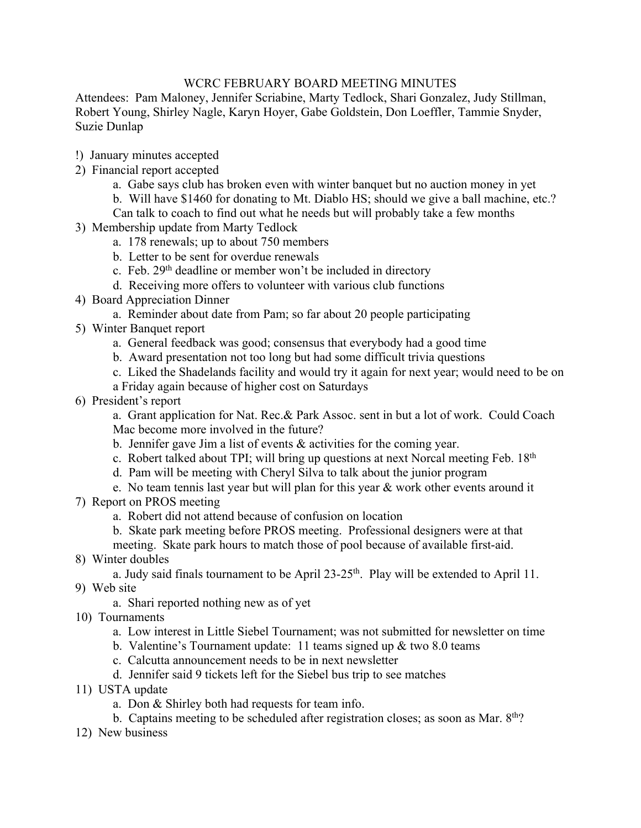## WCRC FEBRUARY BOARD MEETING MINUTES

Attendees: Pam Maloney, Jennifer Scriabine, Marty Tedlock, Shari Gonzalez, Judy Stillman, Robert Young, Shirley Nagle, Karyn Hoyer, Gabe Goldstein, Don Loeffler, Tammie Snyder, Suzie Dunlap

- !) January minutes accepted
- 2) Financial report accepted
	- a. Gabe says club has broken even with winter banquet but no auction money in yet
	- b. Will have \$1460 for donating to Mt. Diablo HS; should we give a ball machine, etc.?
	- Can talk to coach to find out what he needs but will probably take a few months
- 3) Membership update from Marty Tedlock
	- a. 178 renewals; up to about 750 members
	- b. Letter to be sent for overdue renewals
	- c. Feb. 29<sup>th</sup> deadline or member won't be included in directory
	- d. Receiving more offers to volunteer with various club functions
- 4) Board Appreciation Dinner
	- a. Reminder about date from Pam; so far about 20 people participating
- 5) Winter Banquet report
	- a. General feedback was good; consensus that everybody had a good time
	- b. Award presentation not too long but had some difficult trivia questions
	- c. Liked the Shadelands facility and would try it again for next year; would need to be on
	- a Friday again because of higher cost on Saturdays
- 6) President's report

a. Grant application for Nat. Rec.& Park Assoc. sent in but a lot of work. Could Coach Mac become more involved in the future?

- b. Jennifer gave Jim a list of events & activities for the coming year.
- c. Robert talked about TPI; will bring up questions at next Norcal meeting Feb. 18<sup>th</sup>
- d. Pam will be meeting with Cheryl Silva to talk about the junior program
- e. No team tennis last year but will plan for this year  $\&$  work other events around it
- 7) Report on PROS meeting
	- a. Robert did not attend because of confusion on location
	- b. Skate park meeting before PROS meeting. Professional designers were at that meeting. Skate park hours to match those of pool because of available first-aid.
- 8) Winter doubles

a. Judy said finals tournament to be April  $23-25$ <sup>th</sup>. Play will be extended to April 11.

- 9) Web site
	- a. Shari reported nothing new as of yet
- 10) Tournaments
	- a. Low interest in Little Siebel Tournament; was not submitted for newsletter on time
	- b. Valentine's Tournament update: 11 teams signed up & two 8.0 teams
	- c. Calcutta announcement needs to be in next newsletter
	- d. Jennifer said 9 tickets left for the Siebel bus trip to see matches
- 11) USTA update
	- a. Don & Shirley both had requests for team info.
	- b. Captains meeting to be scheduled after registration closes; as soon as Mar.  $8<sup>th</sup>$ ?
- 12) New business